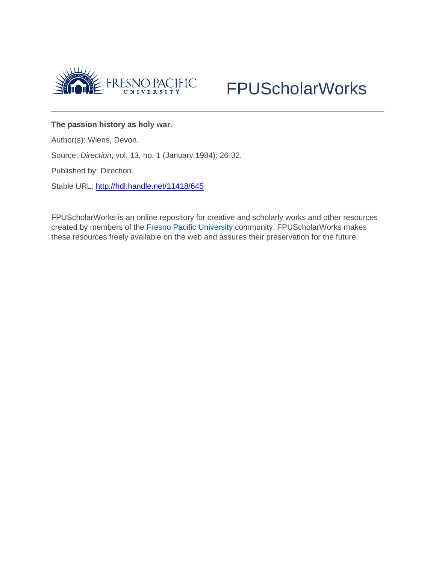



## **The passion history as holy war.**

Author(s): Wiens, Devon.

Source: *Direction*, vol. 13, no. 1 (January 1984): 26-32.

Published by: Direction.

Stable URL: <http://hdl.handle.net/11418/645>

FPUScholarWorks is an online repository for creative and scholarly works and other resources created by members of the [Fresno Pacific University](http://www.fresno.edu/) community. FPUScholarWorks makes these resources freely available on the web and assures their preservation for the future.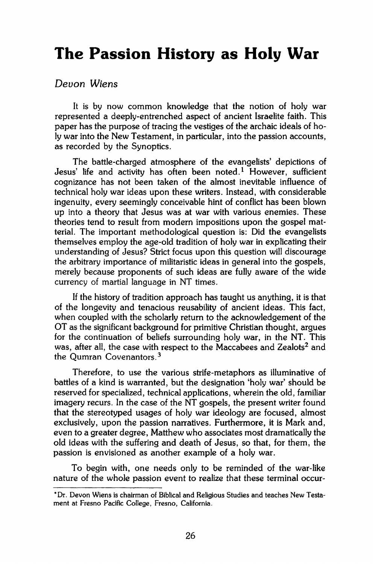## **The Passion History as Holy War**

## *Devon Wiens*

It is by now common knowledge that the notion of holy war represented a deeply-entrenched aspect of ancient Israelite faith. This paper has the purpose of tracing the vestiges of the archaic ideals of holy war into the New Testament, in particular, into the passion accounts, as recorded by the Synoptics.

The battle-charged atmosphere of the evangelists' depictions of Jesus' life and activity has often been noted.<sup>1</sup> However, sufficient cognizance has not been taken of the almost inevitable influence of technical holy war ideas upon these writers. Instead, with considerable ingenuity, every seemingly conceivable hint of conflict has been blown up into a theory that Jesus was at war with various enemies. These theories tend to result from modern impositions upon the gospel matterial. The important methodological question is: Did the evangelists themselves employ the age-old tradition of holy war in explicating their understanding of Jesus? Strict focus upon this question will discourage the arbitrary importance of militaristic ideas in general into the gospels, merely because proponents of such ideas are fully aware of the wide currency of martial language in NT times.

If the history of tradition approach has taught us anything, it is that of the longevity and tenacious reusability of ancient ideas. This fact, when coupled with the scholarly return to the acknowledgement of the OT as the significant background for primitive Christian thought, argues for the continuation of beliefs surrounding holy war, in the NT. This was, after all, the case with respect to the Maccabees and Zealots<sup>2</sup> and the Qumran Covenantors.<sup>3</sup>

Therefore, to use the various strife-metaphors as illuminative of battles of a kind is warranted, but the designation 'holy war' should be reserved for specialized, technical applications, wherein the old, familiar imagery recurs. In the case of the NT gospels, the present writer found that the stereotyped usages of holy war ideology are focused, almost exclusively, upon the passion narratives. Furthermore, it is Mark and, even to a greater degree, Matthew who associates most dramatically the old ideas with the suffering and death of Jesus, so that, for them, the passion is envisioned as another example of a holy war.

To begin with, one needs only to be reminded of the war-like nature of the whole passion event to realize that these terminal occur-

**<sup>\*</sup>Dr. Devon Wiens is chairman of Biblical and Religious Studies and teaches New Testament at Fresno Pacific College, Fresno, California.**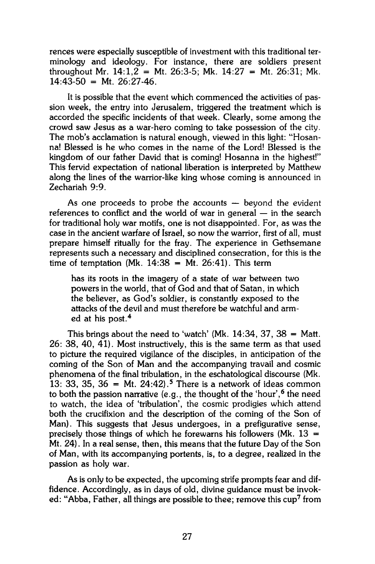rences were especially susceptible of investment with this traditional terminology and ideology. For instance, there are soldiers present throughout Mr.  $14:1,2 = Mt$ .  $26:3-5$ ; Mk.  $14:27 = Mt$ .  $26:31$ ; Mk.  $14:43-50 = Mt. 26:27-46.$ 

It is possible that the event which commenced the activities of passion week, the entry into Jerusalem, triggered the treatment which is accorded the specific incidents of that week. Clearly, some among the crowd saw Jesus as a war-hero coming to take possession of the city. The mob's acclamation is natural enough, viewed in this light: "Hosanna! Blessed is he who comes in the name of the Lord! Blessed is the kingdom of our father David that is coming! Hosanna in the highest!" This fervid expectation of national liberation is interpreted by Matthew along the lines of the warrior-like king whose coming is announced in Zechariah 9:9.

As one proceeds to probe the accounts — beyond the evident references to conflict and the world of war in general — in the search for traditional holy war motifs, one is not disappointed. For, as was the case in the ancient warfare of Israel, so now the warrior, first of all, must prepare himself ritually for the fray. The experience in Gethsemane represents such a necessary and disciplined consecration, for this is the time of temptation  $(Mk, 14:38 = Mt, 26:41)$ . This term

has its roots in the imagery of a state of war between two powers in the world, that of God and that of Satan, in which the believer, as God's soldier, is constantly exposed to the attacks of the devil and must therefore be watchful and armed at his post.<sup>4</sup>

This brings about the need to 'watch' (Mk.  $14:34$ , 37,  $38 =$  Matt. 26: 38, 40, 41). Most instructively, this is the same term as that used to picture the required vigilance of the disciples, in anticipation of the coming of the Son of Man and the accompanying travail and cosmic phenomena of the final tribulation, in the eschatological discourse (Mk. 13: 33, 35, 36 = Mt. 24:42).<sup>5</sup> There is a network of ideas common to both the passion narrative (e.g., the thought of the 'hour', <sup>6</sup> the need to watch, the idea of 'tribulation', the cosmic prodigies which attend both the crucifixion and the description of the coming of the Son of Man). This suggests that Jesus undergoes, in a prefigurative sense, precisely those things of which he forewarns his followers (Mk.  $13 =$ Mt. 24). In a real sense, then, this means that the future Day of the Son of Man, with its accompanying portents, is, to a degree, realized in the passion as holy war.

As is only to be expected, the upcoming strife prompts fear and diffidence. Accordingly, as in days of old, divine guidance must be invoked: "Abba, Father, all things are possible to thee; remove this cup<sup>7</sup> from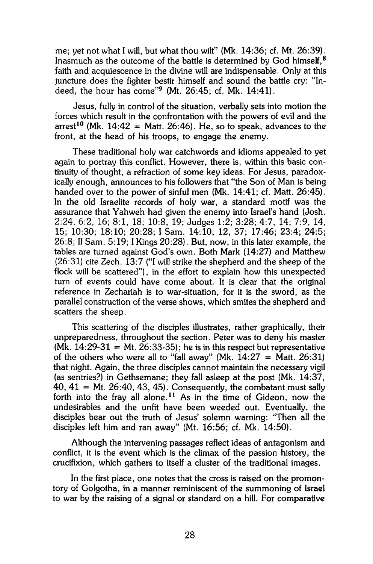me; yet not what I will, but what thou wilt" (Mk. 14:36; cf. Mt. 26:39). Inasmuch as the outcome of the battle is determined by God himself.<sup>8</sup> faith and acquiescence in the divine will are indispensable. Only at this juncture does the fighter bestir himself and sound the battle cry: "Indeed, the hour has come"<sup>9</sup> (Mt. 26:45; cf. Mk. 14:41).

Jesus, fully in control of the situation, verbally sets into motion the forces which result in the confrontation with the powers of evil and the arrest<sup>10</sup> (Mk. 14:42 = Matt. 26:46). He, so to speak, advances to the front, at the head of his troops, to engage the enemy.

These traditional holy war catchwords and idioms appealed to yet again to portray this conflict. However, there is, within this basic continuity of thought, a refraction of some key ideas. For Jesus, paradoxically enough, announces to his followers that "the Son of Man is being handed over to the power of sinful men (Mk. 14:41; cf. Matt. 26:45). In the old Israelite records of holy war, a standard motif was the assurance that Yahweh had given the enemy into Israel's hand (Josh. 2:24, 6:2, 16; 8:1, 18; 10:8, 19; Judges 1:2; 3:28; 4:7, 14; 7:9, 14, 15; 10:30; 18:10; 20:28; I Sam. 14:10, 12, 37; 17:46; 23:4; 24:5; 26:8; II Sam. 5:19; I Kings 20:28). But, now, in this later example, the tables are turned against God's own. Both Mark (14:27) and Matthew (26:31) cite Zech. 13:7 ("I will strike the shepherd and the sheep of the flock will be scattered"), in the effort to explain how this unexpected turn of events could have come about. It is clear that the original reference in Zechariah is to war-situation, for it is the sword, as the parallel construction of the verse shows, which smites the shepherd and scatters the sheep.

This scattering of the disciples illustrates, rather graphically, their unpreparedness, throughout the section. Peter was to deny his master  $(Mk. 14:29-31 = Mt. 26:33-35)$ ; he is in this respect but representative of the others who were all to "fall away" (Mk.  $14:27 =$  Matt. 26:31) that night. Again, the three disciples cannot maintain the necessary vigil (as sentries?) in Gethsemane; they fall asleep at the post (Mk. 14:37,  $40, 41$  = Mt. 26:40, 43, 45). Consequently, the combatant must sally forth into the fray all alone.<sup>11</sup> As in the time of Gideon, now the undesirables and the unfit have been weeded out. Eventually, the disciples bear out the truth of Jesus' solemn warning: "Then all the disciples left him and ran away" (Mt. 16:56; cf. Mk. 14:50).

Although the intervening passages reflect ideas of antagonism and conflict, it is the event which is the climax of the passion history, the crucifixion, which gathers to itself a cluster of the traditional images.

In the first place, one notes that the cross is raised on the promontory of Golgotha, in a manner reminiscent of the summoning of Israel to war by the raising of a signal or standard on a hill. For comparative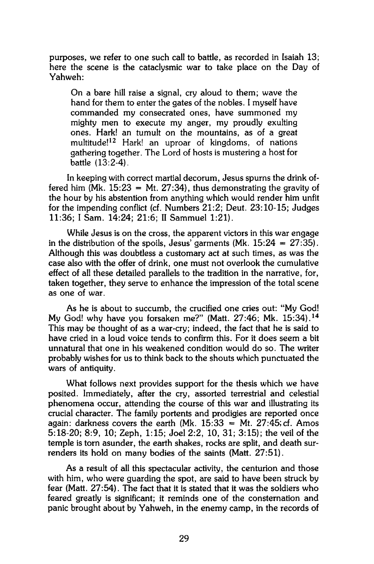purposes, we refer to one such call to battle, as recorded in Isaiah 13; here the scene is the cataclysmic war to take place on the Day of Yahweh:

On a bare hill raise a signal, cry aloud to them; wave the hand for them to enter the gates of the nobles. I myself have commanded my consecrated ones, have summoned my mighty men to execute my anger, my proudly exulting ones. Hark! an tumult on the mountains, as of a great multitude!<sup>12</sup> Hark! an uproar of kingdoms, of nations gathering together. The Lord of hosts is mustering a host for battle (13:2-4).

In keeping with correct martial decorum, Jesus spurns the drink offered him (Mk.  $15:23 = Mt$ .  $27:34$ ), thus demonstrating the gravity of the hour by his abstention from anything which would render him unfit for the impending conflict (cf. Numbers 21:2; Deut. 23:10-15; Judges 11:36; I Sam. 14:24; 21:6; II Sammuel 1:21).

While Jesus is on the cross, the apparent victors in this war engage in the distribution of the spoils, Jesus' garments (Mk.  $15:24 = 27:35$ ). Although this was doubtless a customary act at such times, as was the case also with the offer of drink, one must not overlook the cumulative effect of all these detailed parallels to the tradition in the narrative, for, taken together, they serve to enhance the impression of the total scene as one of war.

As he is about to succumb, the crucified one cries out: "My God! My God! why have you forsaken me?" (Matt. 27:46; Mk. 15:34).<sup>14</sup> This may be thought of as a war-cry; indeed, the fact that he is said to have cried in a loud voice tends to confirm this. For it does seem a bit unnatural that one in his weakened condition would do so. The writer probably wishes for us to think back to the shouts which punctuated the wars of antiquity.

What follows next provides support for the thesis which we have posited. Immediately, after the cry, assorted terrestrial and celestial phenomena occur, attending the course of this war and illustrating its crucial character. The family portents and prodigies are reported once again: darkness covers the earth (Mk.  $15:33 = Mt$ . 27:45; cf. Amos 5:18-20; 8:9, 10; Zeph, 1:15; Joel 2:2, 10, 31; 3:15); the veil of the temple is torn asunder, the earth shakes, rocks are split, and death surrenders its hold on many bodies of the saints (Matt. 27:51).

As a result of all this spectacular activity, the centurion and those with him, who were guarding the spot, are said to have been struck by fear (Matt. 27:54). The fact that it is stated that it was the soldiers who feared greatly is significant; it reminds one of the consternation and panic brought about by Yahweh, in the enemy camp, in the records of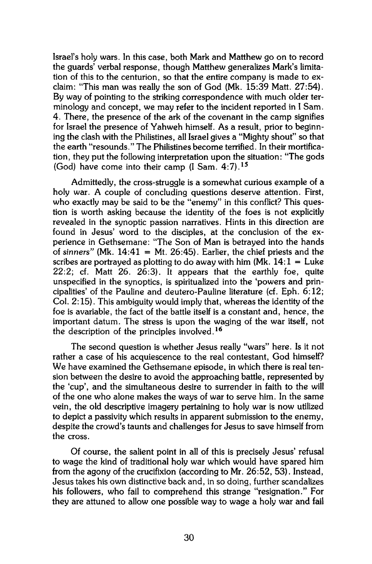Israel's holy wars. In this case, both Mark and Matthew go on to record the guards' verbal response, though Matthew generalizes Mark's limitation of this to the centurion, so that the entire company is made to exclaim: "This man was really the son of God (Mk. 15:39 Matt. 27:54). By way of pointing to the striking correspondence with much older terminology and concept, we may refer to the incident reported in I Sam. 4. There, the presence of the ark of the covenant in the camp signifies for Israel the presence of Yahweh himself. As a result, prior to beginning the clash with the Philistines, all Israel gives a "Mighty shout" so that the earth "resounds." The Philistines become terrified. In their mortification, they put the following interpretation upon the situation: "The gods (God) have come into their camp (I Sam.  $4:7$ ).<sup>15</sup>

Admittedly, the cross-struggle is a somewhat curious example of a holy war. A couple of concluding questions deserve attention. First, who exactly may be said to be the "enemy" in this conflict? This question is worth asking because the identity of the foes is not explicitly revealed in the synoptic passion narratives. Hints in this direction are found in Jesus' word to the disciples, at the conclusion of the experience in Gethsemane: "The Son of Man is betrayed into the hands of sinners" (Mk.  $14:41 = Mt$ .  $26:45$ ). Earlier, the chief priests and the scribes are portrayed as plotting to do away with him (Mk.  $14:1 =$  Luke 22:2; cf. Matt 26. 26:3). It appears that the earthly foe, quite unspecified in the synoptics, is spiritualized into the 'powers and principalities' of the Pauline and deutero-Pauline literature (cf. Eph. 6:12; Col. 2:15). This ambiguity would imply that, whereas the identity of the foe is avariable, the fact of the battle itself is a constant and, hence, the important datum. The stress is upon the waging of the war itself, not the description of the principles involved.<sup>16</sup>

The second question is whether Jesus really "wars" here. Is it not rather a case of his acquiescence to the real contestant, God himself? We have examined the Gethsemane episode, in which there is real tension between the desire to avoid the approaching battle, represented by the 'cup', and the simultaneous desire to surrender in faith to the will of the one who alone makes the ways of war to serve him. In the same vein, the old descriptive imagery pertaining to holy war is now utilized to depict a passivity which results in apparent submission to the enemy, despite the crowd's taunts and challenges for Jesus to save himself from the cross.

Of course, the salient point in all of this is precisely Jesus' refusal to wage the kind of traditional holy war which would have spared him from the agony of the crucifixion (according to Mr. 26:52, 53). Instead, Jesus takes his own distinctive back and, in so doing, further scandalizes his followers, who fail to comprehend this strange "resignation." For they are attuned to allow one possible way to wage a holy war and fail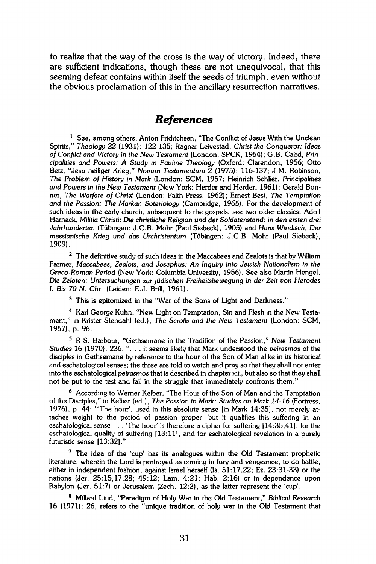to realize that the way of the cross is the way of victory. Indeed, there are sufficient indications, though these are not unequivocal, that this seeming defeat contains within itself the seeds of triumph, even without the obvious proclamation of this in the ancillary resurrection narratives.

## *References*

**1 See, among others, Anton Fridrichsen, "The Conflict of Jesus With the Unclean Spirits,"** *Theology* **22 (1931): 122-135; Ragnar Leivestad,** *Christ the Conqueror: Ideas of Conflict and Victory in the New Testament* **(London: SPCK, 1954); G.B. Caird,** *Principalities and Powers: A Study in Pauline Theology* **(Oxford: Clarendon, 1956; Otto Betz, "Jesu heiliger Krieg,"** *Novum Testamentum* **2 (1975): 116-137; J.M. Robinson,**  *The Problem of History in Mark* **(London: SCM, 1957; Heinrich Schlier,** *Principalities and Powers in the New Testament* **(New York: Herder and Herder, 1961); Gerald Bonner,** *The Warfare of Christ* **(London: Faith Press, 1962); Ernest Best,** *The Temptation and the Passion: The Markan Soteriology* **(Cambridge, 1965). For the development of such ideas in the early church, subsequent to the gospels, see two older classics: Adolf Harnack,** *Militia Christi: Die christliche Religion und der Soldatenstand: in den ersten drei Jahrhunderten* **(Tübingen: J.C.B. Mohr (Paul Siebeck), 1905) and** *Hans Windisch, Der messianische Krieg und das Urchristentum* **(Tübingen: J.C.B. Mohr (Paul Siebeck), 1909).** 

**2 The definitive study of such ideas in the Maccabees and Zealots is that by William Farmer,** *Maccabees, Zealots, and Josephus: An Inquiry into Jewish Nationalism in the Greco-Roman Period* **(New York: Columbia University, 1956). See also Martin Hengel,**  *Die Zeloten: Untersuchungen zur jüdischen Freiheitsbewegung in der Zeit von Herodes I. Bis 70 N. Chr.* **(Leiden: E.J. Brill, 1961).** 

**3 This is epitomized in the "War of the Sons of Light and Darkness."** 

**4 Karl George Kuhn, "New Light on Temptation, Sin and Flesh in the New Testament," in Krister Stendahl (ed.),** *The Scrolls and the New Testament* **(London: SCM, 1957), p. 96.** 

**5 R.S. Barbour, "Gethsemane in the Tradition of the Passion,"** *New Testament Studies* **16 (1970): 236: ".. . it seems likely that Mark understood the** *peirasmos* **of the disciples in Gethsemane by reference to the hour of the Son of Man alike in its historical and eschatological senses; the three are told to watch and pray so that they shall not enter into the eschatological** *peirasmos* **that is described in chapter xiii, but also so that they shall not be put to the test and fail in the struggle that immediately confronts them."** 

**6 According to Werner Kelber, "The Hour of the Son of Man and the Temptation of the Disciples," in Kelber (ed.),** *The Passion in Mark: Studies on Mark 14-16* **(Fortress, 1976), p. 44: "The hour', used in this absolute sense [in Mark 14:35], not merely attaches weight to the period of passion proper, but it qualifies this suffering in an eschatological sense . . . 'The hour' is therefore a cipher for suffering [14:35,41], for the eschatological quality of suffering [13:11], and for eschatological revelation in a purely futuristic sense [13:32]."** 

**7 The idea of the 'cup' has its analogues within the Old Testament prophetic literature, wherein the Lord is portrayed as coming in fury and vengeance, to do battle, either in independent fashion, against Israel herself (Is. 51:17,22; Ez. 23:31-33) or the nations (Jer. 25:15,17,28; 49:12; Lam. 4:21; Hab. 2:16) or in dependence upon Babylon (Jer. 51:7) or Jerusalem (Zech. 12:2), as the latter represent the 'cup'.** 

**8 Millard Lind, "Paradigm of Holy War in the Old Testament,"** *Biblical Research*  **16 (1971): 26, refers to the "unique tradition of holy war in the Old Testament that**